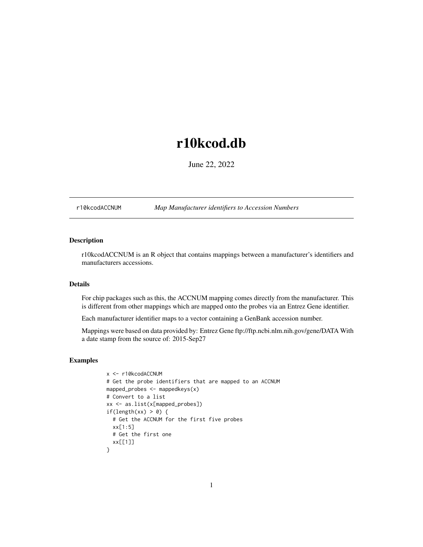# <span id="page-0-1"></span>r10kcod.db

June 22, 2022

<span id="page-0-0"></span>r10kcodACCNUM *Map Manufacturer identifiers to Accession Numbers*

# Description

r10kcodACCNUM is an R object that contains mappings between a manufacturer's identifiers and manufacturers accessions.

# Details

For chip packages such as this, the ACCNUM mapping comes directly from the manufacturer. This is different from other mappings which are mapped onto the probes via an Entrez Gene identifier.

Each manufacturer identifier maps to a vector containing a GenBank accession number.

Mappings were based on data provided by: Entrez Gene ftp://ftp.ncbi.nlm.nih.gov/gene/DATA With a date stamp from the source of: 2015-Sep27

```
x <- r10kcodACCNUM
# Get the probe identifiers that are mapped to an ACCNUM
mapped_probes <- mappedkeys(x)
# Convert to a list
xx <- as.list(x[mapped_probes])
if(length(xx) > 0) {
  # Get the ACCNUM for the first five probes
  xx[1:5]
  # Get the first one
  xx[[1]]
}
```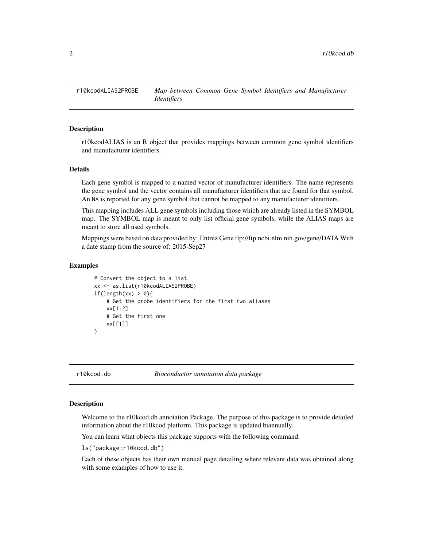<span id="page-1-0"></span>

r10kcodALIAS is an R object that provides mappings between common gene symbol identifiers and manufacturer identifiers.

### Details

Each gene symbol is mapped to a named vector of manufacturer identifiers. The name represents the gene symbol and the vector contains all manufacturer identifiers that are found for that symbol. An NA is reported for any gene symbol that cannot be mapped to any manufacturer identifiers.

This mapping includes ALL gene symbols including those which are already listed in the SYMBOL map. The SYMBOL map is meant to only list official gene symbols, while the ALIAS maps are meant to store all used symbols.

Mappings were based on data provided by: Entrez Gene ftp://ftp.ncbi.nlm.nih.gov/gene/DATA With a date stamp from the source of: 2015-Sep27

# Examples

```
# Convert the object to a list
xx <- as.list(r10kcodALIAS2PROBE)
if(length(xx) > 0){
    # Get the probe identifiers for the first two aliases
   xx[1:2]
   # Get the first one
   xx[[1]]
}
```
r10kcod.db *Bioconductor annotation data package*

# **Description**

Welcome to the r10kcod.db annotation Package. The purpose of this package is to provide detailed information about the r10kcod platform. This package is updated biannually.

You can learn what objects this package supports with the following command:

ls("package:r10kcod.db")

Each of these objects has their own manual page detailing where relevant data was obtained along with some examples of how to use it.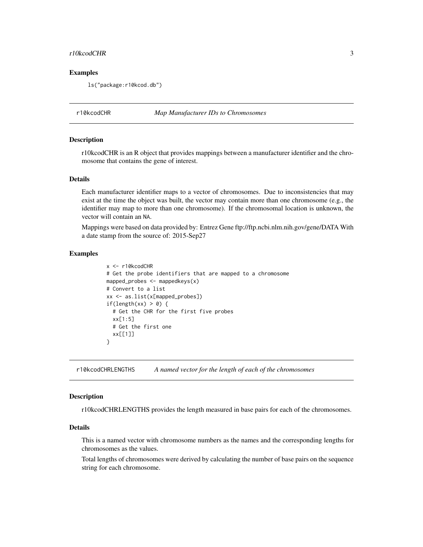#### <span id="page-2-0"></span>r10kcodCHR 3

# Examples

ls("package:r10kcod.db")

r10kcodCHR *Map Manufacturer IDs to Chromosomes*

### Description

r10kcodCHR is an R object that provides mappings between a manufacturer identifier and the chromosome that contains the gene of interest.

# Details

Each manufacturer identifier maps to a vector of chromosomes. Due to inconsistencies that may exist at the time the object was built, the vector may contain more than one chromosome (e.g., the identifier may map to more than one chromosome). If the chromosomal location is unknown, the vector will contain an NA.

Mappings were based on data provided by: Entrez Gene ftp://ftp.ncbi.nlm.nih.gov/gene/DATA With a date stamp from the source of: 2015-Sep27

# Examples

```
x <- r10kcodCHR
# Get the probe identifiers that are mapped to a chromosome
mapped_probes <- mappedkeys(x)
# Convert to a list
xx <- as.list(x[mapped_probes])
if(length(xx) > 0) {
  # Get the CHR for the first five probes
  xx[1:5]
  # Get the first one
  xx[[1]]
}
```
r10kcodCHRLENGTHS *A named vector for the length of each of the chromosomes*

#### **Description**

r10kcodCHRLENGTHS provides the length measured in base pairs for each of the chromosomes.

# Details

This is a named vector with chromosome numbers as the names and the corresponding lengths for chromosomes as the values.

Total lengths of chromosomes were derived by calculating the number of base pairs on the sequence string for each chromosome.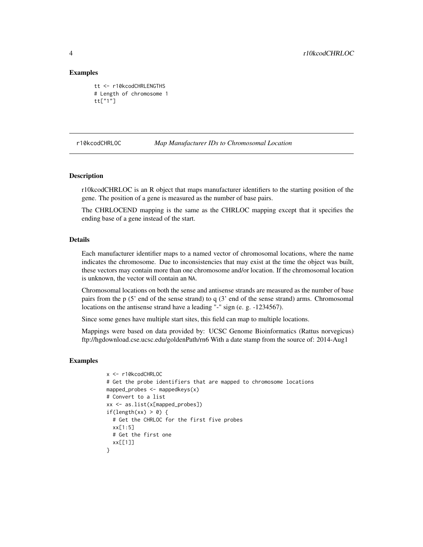# Examples

```
tt <- r10kcodCHRLENGTHS
# Length of chromosome 1
tt["1"]
```
#### r10kcodCHRLOC *Map Manufacturer IDs to Chromosomal Location*

# Description

r10kcodCHRLOC is an R object that maps manufacturer identifiers to the starting position of the gene. The position of a gene is measured as the number of base pairs.

The CHRLOCEND mapping is the same as the CHRLOC mapping except that it specifies the ending base of a gene instead of the start.

# Details

Each manufacturer identifier maps to a named vector of chromosomal locations, where the name indicates the chromosome. Due to inconsistencies that may exist at the time the object was built, these vectors may contain more than one chromosome and/or location. If the chromosomal location is unknown, the vector will contain an NA.

Chromosomal locations on both the sense and antisense strands are measured as the number of base pairs from the p (5' end of the sense strand) to q (3' end of the sense strand) arms. Chromosomal locations on the antisense strand have a leading "-" sign (e. g. -1234567).

Since some genes have multiple start sites, this field can map to multiple locations.

Mappings were based on data provided by: UCSC Genome Bioinformatics (Rattus norvegicus) ftp://hgdownload.cse.ucsc.edu/goldenPath/rn6 With a date stamp from the source of: 2014-Aug1

```
x <- r10kcodCHRLOC
# Get the probe identifiers that are mapped to chromosome locations
mapped_probes \leq mappedkeys(x)
# Convert to a list
xx <- as.list(x[mapped_probes])
if(length(xx) > 0) {
  # Get the CHRLOC for the first five probes
  xx[1:5]
 # Get the first one
 xx[[1]]
}
```
<span id="page-3-0"></span>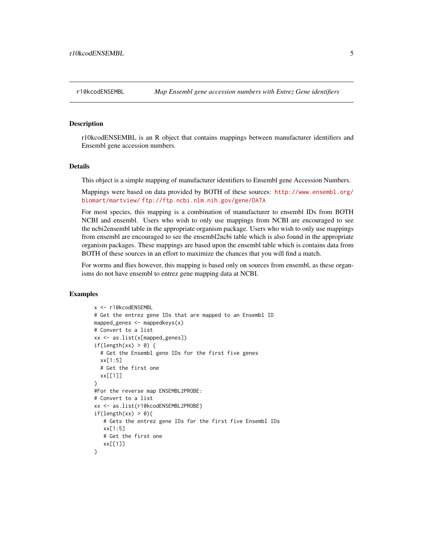<span id="page-4-0"></span>

r10kcodENSEMBL is an R object that contains mappings between manufacturer identifiers and Ensembl gene accession numbers.

# Details

This object is a simple mapping of manufacturer identifiers to Ensembl gene Accession Numbers.

Mappings were based on data provided by BOTH of these sources: [http://www.ensembl.org/](http://www.ensembl.org/biomart/martview/) [biomart/martview/](http://www.ensembl.org/biomart/martview/) <ftp://ftp.ncbi.nlm.nih.gov/gene/DATA>

For most species, this mapping is a combination of manufacturer to ensembl IDs from BOTH NCBI and ensembl. Users who wish to only use mappings from NCBI are encouraged to see the ncbi2ensembl table in the appropriate organism package. Users who wish to only use mappings from ensembl are encouraged to see the ensembl2ncbi table which is also found in the appropriate organism packages. These mappings are based upon the ensembl table which is contains data from BOTH of these sources in an effort to maximize the chances that you will find a match.

For worms and flies however, this mapping is based only on sources from ensembl, as these organisms do not have ensembl to entrez gene mapping data at NCBI.

```
x <- r10kcodENSEMBL
# Get the entrez gene IDs that are mapped to an Ensembl ID
mapped_genes <- mappedkeys(x)
# Convert to a list
xx <- as.list(x[mapped_genes])
if(length(xx) > 0) {
  # Get the Ensembl gene IDs for the first five genes
  xx[1:5]
  # Get the first one
  xx[[1]]
}
#For the reverse map ENSEMBL2PROBE:
# Convert to a list
xx <- as.list(r10kcodENSEMBL2PROBE)
if(length(xx) > 0){
   # Gets the entrez gene IDs for the first five Ensembl IDs
   xx[1:5]
   # Get the first one
   xx[[1]]
}
```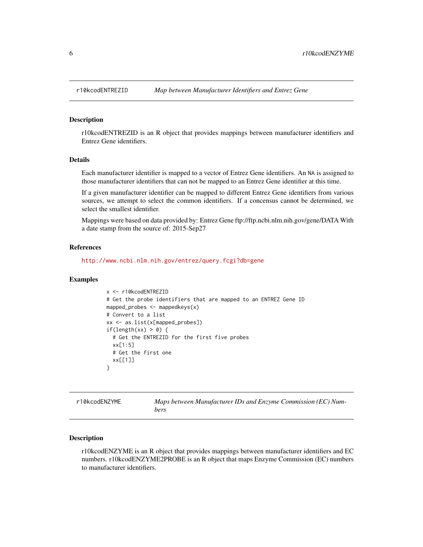<span id="page-5-0"></span>

r10kcodENTREZID is an R object that provides mappings between manufacturer identifiers and Entrez Gene identifiers.

# Details

Each manufacturer identifier is mapped to a vector of Entrez Gene identifiers. An NA is assigned to those manufacturer identifiers that can not be mapped to an Entrez Gene identifier at this time.

If a given manufacturer identifier can be mapped to different Entrez Gene identifiers from various sources, we attempt to select the common identifiers. If a concensus cannot be determined, we select the smallest identifier.

Mappings were based on data provided by: Entrez Gene ftp://ftp.ncbi.nlm.nih.gov/gene/DATA With a date stamp from the source of: 2015-Sep27

#### References

<http://www.ncbi.nlm.nih.gov/entrez/query.fcgi?db=gene>

### Examples

```
x <- r10kcodENTREZID
# Get the probe identifiers that are mapped to an ENTREZ Gene ID
mapped_probes <- mappedkeys(x)
# Convert to a list
xx <- as.list(x[mapped_probes])
if(length(xx) > 0) {
  # Get the ENTREZID for the first five probes
  xx[1:5]
 # Get the first one
  xx[[1]]
}
```
r10kcodENZYME *Maps between Manufacturer IDs and Enzyme Commission (EC) Numbers*

# **Description**

r10kcodENZYME is an R object that provides mappings between manufacturer identifiers and EC numbers. r10kcodENZYME2PROBE is an R object that maps Enzyme Commission (EC) numbers to manufacturer identifiers.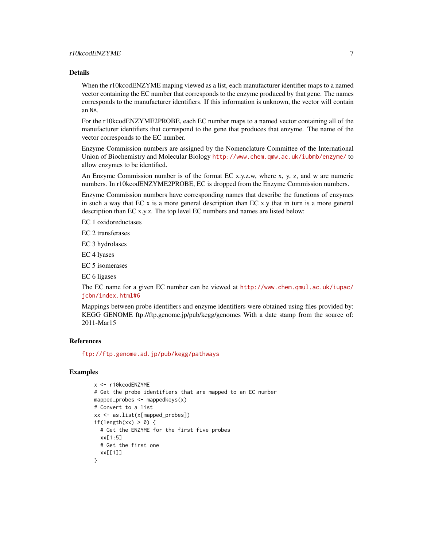When the r10kcodENZYME maping viewed as a list, each manufacturer identifier maps to a named vector containing the EC number that corresponds to the enzyme produced by that gene. The names corresponds to the manufacturer identifiers. If this information is unknown, the vector will contain an NA.

For the r10kcodENZYME2PROBE, each EC number maps to a named vector containing all of the manufacturer identifiers that correspond to the gene that produces that enzyme. The name of the vector corresponds to the EC number.

Enzyme Commission numbers are assigned by the Nomenclature Committee of the International Union of Biochemistry and Molecular Biology <http://www.chem.qmw.ac.uk/iubmb/enzyme/> to allow enzymes to be identified.

An Enzyme Commission number is of the format EC x.y.z.w, where x, y, z, and w are numeric numbers. In r10kcodENZYME2PROBE, EC is dropped from the Enzyme Commission numbers.

Enzyme Commission numbers have corresponding names that describe the functions of enzymes in such a way that EC x is a more general description than EC x.y that in turn is a more general description than EC x.y.z. The top level EC numbers and names are listed below:

EC 1 oxidoreductases

EC 2 transferases

EC 3 hydrolases

EC 4 lyases

EC 5 isomerases

EC 6 ligases

The EC name for a given EC number can be viewed at [http://www.chem.qmul.ac.uk/iupac/](http://www.chem.qmul.ac.uk/iupac/jcbn/index.html#6) [jcbn/index.html#6](http://www.chem.qmul.ac.uk/iupac/jcbn/index.html#6)

Mappings between probe identifiers and enzyme identifiers were obtained using files provided by: KEGG GENOME ftp://ftp.genome.jp/pub/kegg/genomes With a date stamp from the source of: 2011-Mar15

# References

<ftp://ftp.genome.ad.jp/pub/kegg/pathways>

```
x <- r10kcodENZYME
# Get the probe identifiers that are mapped to an EC number
mapped_probes <- mappedkeys(x)
# Convert to a list
xx <- as.list(x[mapped_probes])
if(length(xx) > 0) {
  # Get the ENZYME for the first five probes
  xx[1:5]
  # Get the first one
  xx[[1]]
}
```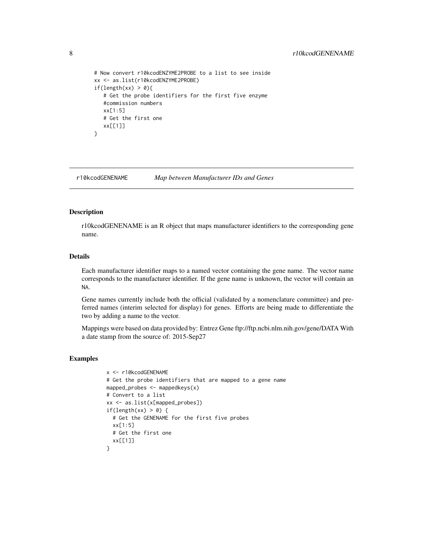```
# Now convert r10kcodENZYME2PROBE to a list to see inside
xx <- as.list(r10kcodENZYME2PROBE)
if(length(xx) > 0){
  # Get the probe identifiers for the first five enzyme
  #commission numbers
  xx[1:5]
  # Get the first one
  xx[[1]]
}
```
r10kcodGENENAME *Map between Manufacturer IDs and Genes*

# Description

r10kcodGENENAME is an R object that maps manufacturer identifiers to the corresponding gene name.

# Details

Each manufacturer identifier maps to a named vector containing the gene name. The vector name corresponds to the manufacturer identifier. If the gene name is unknown, the vector will contain an NA.

Gene names currently include both the official (validated by a nomenclature committee) and preferred names (interim selected for display) for genes. Efforts are being made to differentiate the two by adding a name to the vector.

Mappings were based on data provided by: Entrez Gene ftp://ftp.ncbi.nlm.nih.gov/gene/DATA With a date stamp from the source of: 2015-Sep27

```
x <- r10kcodGENENAME
# Get the probe identifiers that are mapped to a gene name
mapped_probes <- mappedkeys(x)
# Convert to a list
xx <- as.list(x[mapped_probes])
if(length(xx) > 0) {
  # Get the GENENAME for the first five probes
  xx[1:5]
 # Get the first one
 xx[[1]]
}
```
<span id="page-7-0"></span>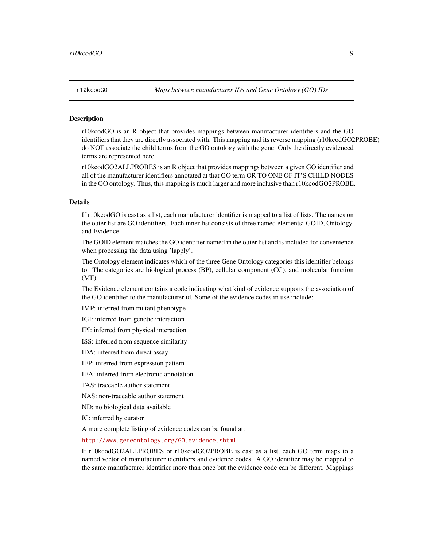<span id="page-8-1"></span><span id="page-8-0"></span>

r10kcodGO is an R object that provides mappings between manufacturer identifiers and the GO identifiers that they are directly associated with. This mapping and its reverse mapping (r10kcodGO2PROBE) do NOT associate the child terms from the GO ontology with the gene. Only the directly evidenced terms are represented here.

r10kcodGO2ALLPROBES is an R object that provides mappings between a given GO identifier and all of the manufacturer identifiers annotated at that GO term OR TO ONE OF IT'S CHILD NODES in the GO ontology. Thus, this mapping is much larger and more inclusive than r10kcodGO2PROBE.

### Details

If r10kcodGO is cast as a list, each manufacturer identifier is mapped to a list of lists. The names on the outer list are GO identifiers. Each inner list consists of three named elements: GOID, Ontology, and Evidence.

The GOID element matches the GO identifier named in the outer list and is included for convenience when processing the data using 'lapply'.

The Ontology element indicates which of the three Gene Ontology categories this identifier belongs to. The categories are biological process (BP), cellular component (CC), and molecular function (MF).

The Evidence element contains a code indicating what kind of evidence supports the association of the GO identifier to the manufacturer id. Some of the evidence codes in use include:

IMP: inferred from mutant phenotype

IGI: inferred from genetic interaction

IPI: inferred from physical interaction

ISS: inferred from sequence similarity

IDA: inferred from direct assay

IEP: inferred from expression pattern

IEA: inferred from electronic annotation

TAS: traceable author statement

NAS: non-traceable author statement

ND: no biological data available

IC: inferred by curator

A more complete listing of evidence codes can be found at:

<http://www.geneontology.org/GO.evidence.shtml>

If r10kcodGO2ALLPROBES or r10kcodGO2PROBE is cast as a list, each GO term maps to a named vector of manufacturer identifiers and evidence codes. A GO identifier may be mapped to the same manufacturer identifier more than once but the evidence code can be different. Mappings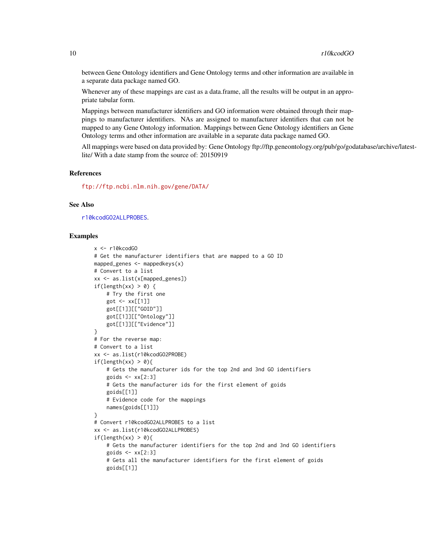between Gene Ontology identifiers and Gene Ontology terms and other information are available in a separate data package named GO.

Whenever any of these mappings are cast as a data.frame, all the results will be output in an appropriate tabular form.

Mappings between manufacturer identifiers and GO information were obtained through their mappings to manufacturer identifiers. NAs are assigned to manufacturer identifiers that can not be mapped to any Gene Ontology information. Mappings between Gene Ontology identifiers an Gene Ontology terms and other information are available in a separate data package named GO.

All mappings were based on data provided by: Gene Ontology ftp://ftp.geneontology.org/pub/go/godatabase/archive/latestlite/ With a date stamp from the source of: 20150919

### References

<ftp://ftp.ncbi.nlm.nih.gov/gene/DATA/>

#### See Also

[r10kcodGO2ALLPROBES](#page-8-0).

```
x <- r10kcodGO
# Get the manufacturer identifiers that are mapped to a GO ID
mapped_genes <- mappedkeys(x)
# Convert to a list
xx <- as.list(x[mapped_genes])
if(length(xx) > 0) {
    # Try the first one
    got <- xx[[1]]
    got[[1]][["GOID"]]
    got[[1]][["Ontology"]]
    got[[1]][["Evidence"]]
}
# For the reverse map:
# Convert to a list
xx <- as.list(r10kcodGO2PROBE)
if(length(xx) > 0){
    # Gets the manufacturer ids for the top 2nd and 3nd GO identifiers
    goids \leq -x \times [2:3]# Gets the manufacturer ids for the first element of goids
    goids[[1]]
    # Evidence code for the mappings
    names(goids[[1]])
}
# Convert r10kcodGO2ALLPROBES to a list
xx <- as.list(r10kcodGO2ALLPROBES)
if(length(xx) > 0){
    # Gets the manufacturer identifiers for the top 2nd and 3nd GO identifiers
    goids \leq -x \times [2:3]# Gets all the manufacturer identifiers for the first element of goids
    goids[[1]]
```
<span id="page-9-0"></span>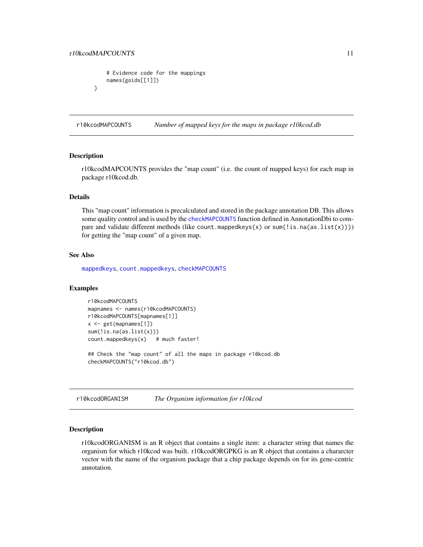```
# Evidence code for the mappings
   names(goids[[1]])
}
```
r10kcodMAPCOUNTS *Number of mapped keys for the maps in package r10kcod.db*

# Description

r10kcodMAPCOUNTS provides the "map count" (i.e. the count of mapped keys) for each map in package r10kcod.db.

# Details

This "map count" information is precalculated and stored in the package annotation DB. This allows some quality control and is used by the [checkMAPCOUNTS](#page-0-0) function defined in AnnotationDbi to compare and validate different methods (like count.mappedkeys(x) or sum(!is.na(as.list(x)))) for getting the "map count" of a given map.

### See Also

[mappedkeys](#page-0-0), [count.mappedkeys](#page-0-0), [checkMAPCOUNTS](#page-0-0)

# Examples

```
r10kcodMAPCOUNTS
mapnames <- names(r10kcodMAPCOUNTS)
r10kcodMAPCOUNTS[mapnames[1]]
x <- get(mapnames[1])
sum(!is.na(as.list(x)))
count.mappedkeys(x) # much faster!
```
## Check the "map count" of all the maps in package r10kcod.db checkMAPCOUNTS("r10kcod.db")

r10kcodORGANISM *The Organism information for r10kcod*

# Description

r10kcodORGANISM is an R object that contains a single item: a character string that names the organism for which r10kcod was built. r10kcodORGPKG is an R object that contains a chararcter vector with the name of the organism package that a chip package depends on for its gene-centric annotation.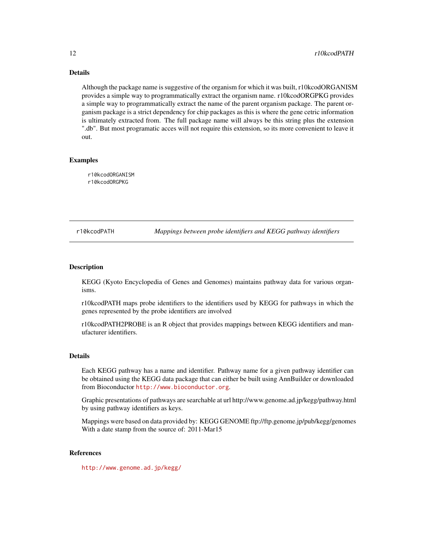<span id="page-11-0"></span>Although the package name is suggestive of the organism for which it was built, r10kcodORGANISM provides a simple way to programmatically extract the organism name. r10kcodORGPKG provides a simple way to programmatically extract the name of the parent organism package. The parent organism package is a strict dependency for chip packages as this is where the gene cetric information is ultimately extracted from. The full package name will always be this string plus the extension ".db". But most programatic acces will not require this extension, so its more convenient to leave it out.

# Examples

r10kcodORGANISM r10kcodORGPKG

r10kcodPATH *Mappings between probe identifiers and KEGG pathway identifiers*

# **Description**

KEGG (Kyoto Encyclopedia of Genes and Genomes) maintains pathway data for various organisms.

r10kcodPATH maps probe identifiers to the identifiers used by KEGG for pathways in which the genes represented by the probe identifiers are involved

r10kcodPATH2PROBE is an R object that provides mappings between KEGG identifiers and manufacturer identifiers.

### Details

Each KEGG pathway has a name and identifier. Pathway name for a given pathway identifier can be obtained using the KEGG data package that can either be built using AnnBuilder or downloaded from Bioconductor <http://www.bioconductor.org>.

Graphic presentations of pathways are searchable at url http://www.genome.ad.jp/kegg/pathway.html by using pathway identifiers as keys.

Mappings were based on data provided by: KEGG GENOME ftp://ftp.genome.jp/pub/kegg/genomes With a date stamp from the source of: 2011-Mar15

# References

<http://www.genome.ad.jp/kegg/>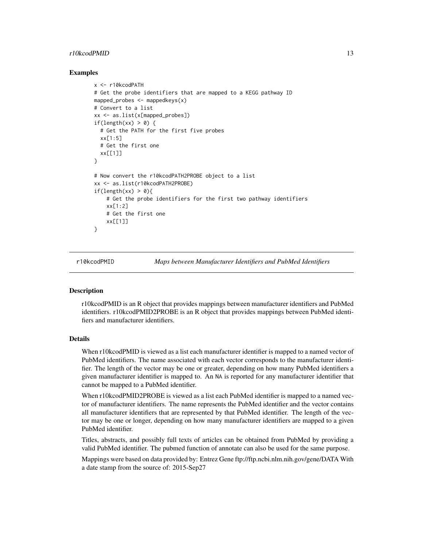# <span id="page-12-0"></span>r10kcodPMID 13

# Examples

```
x <- r10kcodPATH
# Get the probe identifiers that are mapped to a KEGG pathway ID
mapped_probes \leq- mappedkeys(x)# Convert to a list
xx <- as.list(x[mapped_probes])
if(length(xx) > 0) {
  # Get the PATH for the first five probes
  xx[1:5]
  # Get the first one
  xx[[1]]
}
# Now convert the r10kcodPATH2PROBE object to a list
xx <- as.list(r10kcodPATH2PROBE)
if(length(xx) > 0){
    # Get the probe identifiers for the first two pathway identifiers
    xx[1:2]
    # Get the first one
    xx[[1]]
}
```
r10kcodPMID *Maps between Manufacturer Identifiers and PubMed Identifiers*

#### Description

r10kcodPMID is an R object that provides mappings between manufacturer identifiers and PubMed identifiers. r10kcodPMID2PROBE is an R object that provides mappings between PubMed identifiers and manufacturer identifiers.

### Details

When r10kcodPMID is viewed as a list each manufacturer identifier is mapped to a named vector of PubMed identifiers. The name associated with each vector corresponds to the manufacturer identifier. The length of the vector may be one or greater, depending on how many PubMed identifiers a given manufacturer identifier is mapped to. An NA is reported for any manufacturer identifier that cannot be mapped to a PubMed identifier.

When r10kcodPMID2PROBE is viewed as a list each PubMed identifier is mapped to a named vector of manufacturer identifiers. The name represents the PubMed identifier and the vector contains all manufacturer identifiers that are represented by that PubMed identifier. The length of the vector may be one or longer, depending on how many manufacturer identifiers are mapped to a given PubMed identifier.

Titles, abstracts, and possibly full texts of articles can be obtained from PubMed by providing a valid PubMed identifier. The pubmed function of annotate can also be used for the same purpose.

Mappings were based on data provided by: Entrez Gene ftp://ftp.ncbi.nlm.nih.gov/gene/DATA With a date stamp from the source of: 2015-Sep27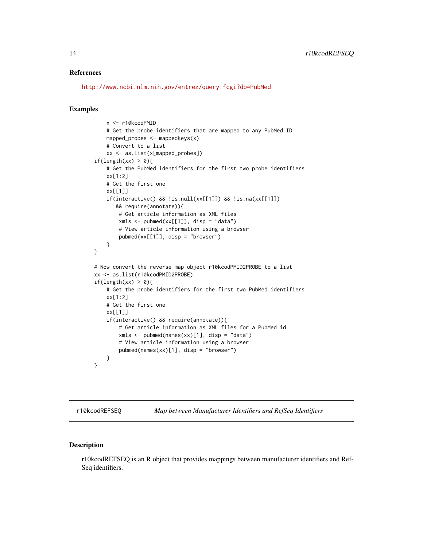# <span id="page-13-0"></span>References

<http://www.ncbi.nlm.nih.gov/entrez/query.fcgi?db=PubMed>

#### Examples

```
x <- r10kcodPMID
    # Get the probe identifiers that are mapped to any PubMed ID
    mapped_probes \leq mappedkeys(x)
    # Convert to a list
    xx <- as.list(x[mapped_probes])
if(length(xx) > 0){
   # Get the PubMed identifiers for the first two probe identifiers
    xx[1:2]
    # Get the first one
    xx[[1]]
    if(interactive() && !is.null(xx[[1]]) && !is.na(xx[[1]])
       && require(annotate)){
        # Get article information as XML files
        xmls < -pubmed(xx[[1]], disp = "data")# View article information using a browser
        pubmed(xx[[1]], disp = "browser")}
}
# Now convert the reverse map object r10kcodPMID2PROBE to a list
xx <- as.list(r10kcodPMID2PROBE)
if(length(xx) > 0){
    # Get the probe identifiers for the first two PubMed identifiers
    xx[1:2]
    # Get the first one
    xx[[1]]
    if(interactive() && require(annotate)){
        # Get article information as XML files for a PubMed id
        xmls < -pubmed(names(xx)[1], disp = "data")# View article information using a browser
        pubmed(names(xx)[1], disp = "browser")
    }
}
```
r10kcodREFSEQ *Map between Manufacturer Identifiers and RefSeq Identifiers*

# Description

r10kcodREFSEQ is an R object that provides mappings between manufacturer identifiers and Ref-Seq identifiers.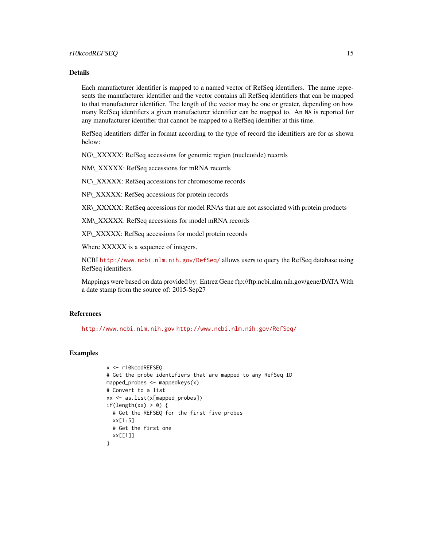Each manufacturer identifier is mapped to a named vector of RefSeq identifiers. The name represents the manufacturer identifier and the vector contains all RefSeq identifiers that can be mapped to that manufacturer identifier. The length of the vector may be one or greater, depending on how many RefSeq identifiers a given manufacturer identifier can be mapped to. An NA is reported for any manufacturer identifier that cannot be mapped to a RefSeq identifier at this time.

RefSeq identifiers differ in format according to the type of record the identifiers are for as shown below:

NG\\_XXXXX: RefSeq accessions for genomic region (nucleotide) records

NM\\_XXXXX: RefSeq accessions for mRNA records

NC\\_XXXXX: RefSeq accessions for chromosome records

NP\\_XXXXX: RefSeq accessions for protein records

XR\\_XXXXX: RefSeq accessions for model RNAs that are not associated with protein products

XM\\_XXXXX: RefSeq accessions for model mRNA records

XP\\_XXXXX: RefSeq accessions for model protein records

Where XXXXX is a sequence of integers.

NCBI <http://www.ncbi.nlm.nih.gov/RefSeq/> allows users to query the RefSeq database using RefSeq identifiers.

Mappings were based on data provided by: Entrez Gene ftp://ftp.ncbi.nlm.nih.gov/gene/DATA With a date stamp from the source of: 2015-Sep27

# References

<http://www.ncbi.nlm.nih.gov> <http://www.ncbi.nlm.nih.gov/RefSeq/>

```
x <- r10kcodREFSEQ
# Get the probe identifiers that are mapped to any RefSeq ID
mapped_probes <- mappedkeys(x)
# Convert to a list
xx <- as.list(x[mapped_probes])
if(length(xx) > 0) {
  # Get the REFSEQ for the first five probes
 xx[1:5]
 # Get the first one
  xx[[1]]
}
```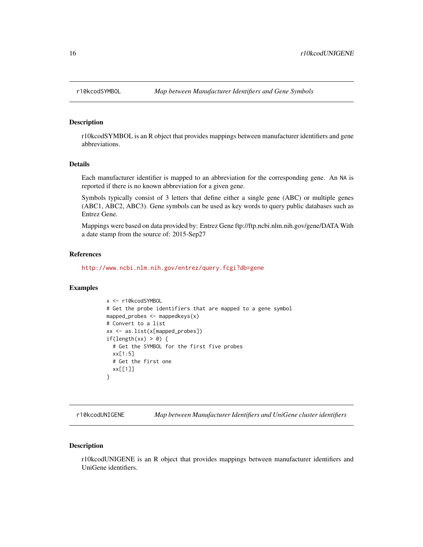<span id="page-15-0"></span>

r10kcodSYMBOL is an R object that provides mappings between manufacturer identifiers and gene abbreviations.

# Details

Each manufacturer identifier is mapped to an abbreviation for the corresponding gene. An NA is reported if there is no known abbreviation for a given gene.

Symbols typically consist of 3 letters that define either a single gene (ABC) or multiple genes (ABC1, ABC2, ABC3). Gene symbols can be used as key words to query public databases such as Entrez Gene.

Mappings were based on data provided by: Entrez Gene ftp://ftp.ncbi.nlm.nih.gov/gene/DATA With a date stamp from the source of: 2015-Sep27

# References

<http://www.ncbi.nlm.nih.gov/entrez/query.fcgi?db=gene>

### Examples

```
x <- r10kcodSYMBOL
# Get the probe identifiers that are mapped to a gene symbol
mapped_probes <- mappedkeys(x)
# Convert to a list
xx <- as.list(x[mapped_probes])
if(length(xx) > 0) {
  # Get the SYMBOL for the first five probes
  xx[1:5]
 # Get the first one
 xx[[1]]
}
```
r10kcodUNIGENE *Map between Manufacturer Identifiers and UniGene cluster identifiers*

# Description

r10kcodUNIGENE is an R object that provides mappings between manufacturer identifiers and UniGene identifiers.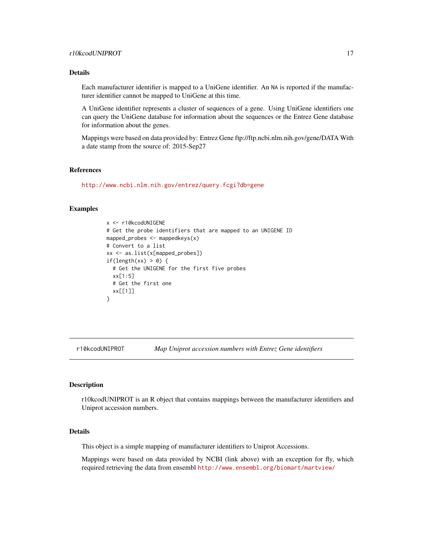<span id="page-16-0"></span>Each manufacturer identifier is mapped to a UniGene identifier. An NA is reported if the manufacturer identifier cannot be mapped to UniGene at this time.

A UniGene identifier represents a cluster of sequences of a gene. Using UniGene identifiers one can query the UniGene database for information about the sequences or the Entrez Gene database for information about the genes.

Mappings were based on data provided by: Entrez Gene ftp://ftp.ncbi.nlm.nih.gov/gene/DATA With a date stamp from the source of: 2015-Sep27

# References

<http://www.ncbi.nlm.nih.gov/entrez/query.fcgi?db=gene>

# Examples

```
x <- r10kcodUNIGENE
# Get the probe identifiers that are mapped to an UNIGENE ID
mapped_probes <- mappedkeys(x)
# Convert to a list
xx <- as.list(x[mapped_probes])
if(length(xx) > 0) {
  # Get the UNIGENE for the first five probes
 xx[1:5]
 # Get the first one
  xx[[1]]
}
```
r10kcodUNIPROT *Map Uniprot accession numbers with Entrez Gene identifiers*

#### Description

r10kcodUNIPROT is an R object that contains mappings between the manufacturer identifiers and Uniprot accession numbers.

#### Details

This object is a simple mapping of manufacturer identifiers to Uniprot Accessions.

Mappings were based on data provided by NCBI (link above) with an exception for fly, which required retrieving the data from ensembl <http://www.ensembl.org/biomart/martview/>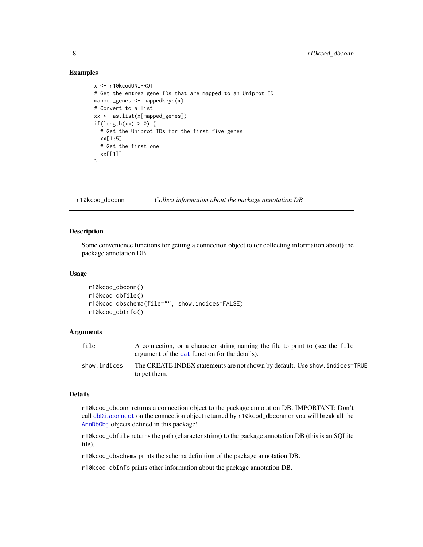### Examples

```
x <- r10kcodUNIPROT
# Get the entrez gene IDs that are mapped to an Uniprot ID
mapped_genes <- mappedkeys(x)
# Convert to a list
xx <- as.list(x[mapped_genes])
if(length(xx) > 0) {
  # Get the Uniprot IDs for the first five genes
  xx[1:5]
  # Get the first one
  xx[[1]]
}
```
r10kcod\_dbconn *Collect information about the package annotation DB*

# **Description**

Some convenience functions for getting a connection object to (or collecting information about) the package annotation DB.

#### Usage

```
r10kcod_dbconn()
r10kcod_dbfile()
r10kcod_dbschema(file="", show.indices=FALSE)
r10kcod_dbInfo()
```
### **Arguments**

| file         | A connection, or a character string naming the file to print to (see the file<br>argument of the cat function for the details). |
|--------------|---------------------------------------------------------------------------------------------------------------------------------|
| show.indices | The CREATE INDEX statements are not shown by default. Use show, indices=TRUE<br>to get them.                                    |

#### Details

r10kcod\_dbconn returns a connection object to the package annotation DB. IMPORTANT: Don't call [dbDisconnect](#page-0-0) on the connection object returned by r10kcod\_dbconn or you will break all the [AnnDbObj](#page-0-0) objects defined in this package!

r10kcod\_dbfile returns the path (character string) to the package annotation DB (this is an SQLite file).

r10kcod\_dbschema prints the schema definition of the package annotation DB.

r10kcod\_dbInfo prints other information about the package annotation DB.

<span id="page-17-0"></span>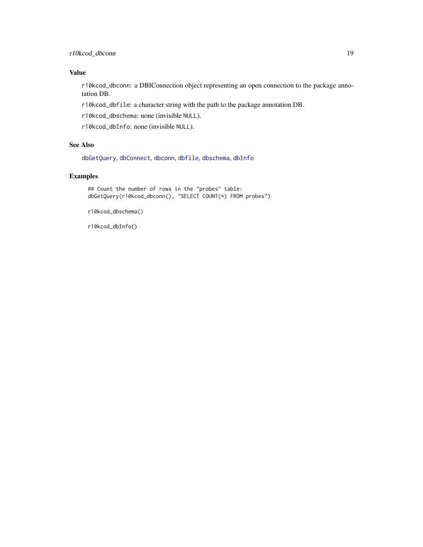# <span id="page-18-0"></span>Value

r10kcod\_dbconn: a DBIConnection object representing an open connection to the package annotation DB.

r10kcod\_dbfile: a character string with the path to the package annotation DB.

r10kcod\_dbschema: none (invisible NULL).

r10kcod\_dbInfo: none (invisible NULL).

# See Also

[dbGetQuery](#page-0-0), [dbConnect](#page-0-0), [dbconn](#page-0-0), [dbfile](#page-0-0), [dbschema](#page-0-0), [dbInfo](#page-0-0)

# Examples

## Count the number of rows in the "probes" table: dbGetQuery(r10kcod\_dbconn(), "SELECT COUNT(\*) FROM probes")

r10kcod\_dbschema()

r10kcod\_dbInfo()